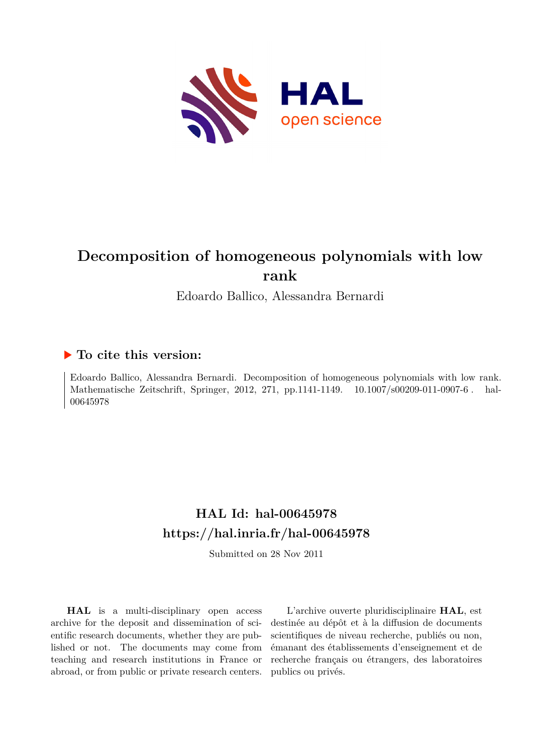

# **Decomposition of homogeneous polynomials with low rank**

Edoardo Ballico, Alessandra Bernardi

# **To cite this version:**

Edoardo Ballico, Alessandra Bernardi. Decomposition of homogeneous polynomials with low rank. Mathematische Zeitschrift, Springer, 2012, 271, pp.1141-1149.  $10.1007/800209-011-0907-6$ . hal-00645978

# **HAL Id: hal-00645978 <https://hal.inria.fr/hal-00645978>**

Submitted on 28 Nov 2011

**HAL** is a multi-disciplinary open access archive for the deposit and dissemination of scientific research documents, whether they are published or not. The documents may come from teaching and research institutions in France or abroad, or from public or private research centers.

L'archive ouverte pluridisciplinaire **HAL**, est destinée au dépôt et à la diffusion de documents scientifiques de niveau recherche, publiés ou non, émanant des établissements d'enseignement et de recherche français ou étrangers, des laboratoires publics ou privés.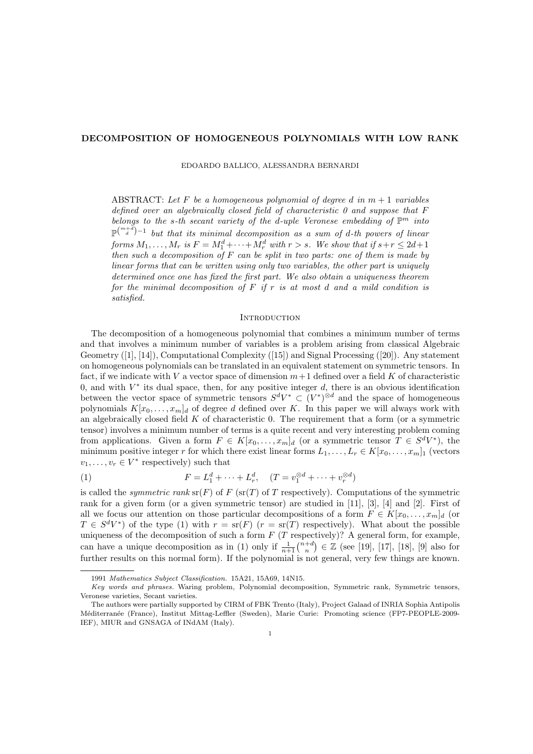## DECOMPOSITION OF HOMOGENEOUS POLYNOMIALS WITH LOW RANK

EDOARDO BALLICO, ALESSANDRA BERNARDI

ABSTRACT: Let F be a homogeneous polynomial of degree d in  $m + 1$  variables defined over an algebraically closed field of characteristic  $\theta$  and suppose that  $F$ belongs to the s-th secant variety of the d-uple Veronese embedding of  $\mathbb{P}^m$  into  $\mathbb{P}^{\binom{m+d}{d}-1}$  but that its minimal decomposition as a sum of d-th powers of linear forms  $M_1, \ldots, M_r$  is  $F = M_1^d + \cdots + M_r^d$  with  $r > s$ . We show that if  $s + r \leq 2d + 1$ then such a decomposition of  $F$  can be split in two parts: one of them is made by linear forms that can be written using only two variables, the other part is uniquely determined once one has fixed the first part. We also obtain a uniqueness theorem for the minimal decomposition of  $F$  if  $r$  is at most d and a mild condition is satisfied.

# **INTRODUCTION**

The decomposition of a homogeneous polynomial that combines a minimum number of terms and that involves a minimum number of variables is a problem arising from classical Algebraic Geometry ([1], [14]), Computational Complexity ([15]) and Signal Processing ([20]). Any statement on homogeneous polynomials can be translated in an equivalent statement on symmetric tensors. In fact, if we indicate with V a vector space of dimension  $m+1$  defined over a field K of characteristic 0, and with  $V^*$  its dual space, then, for any positive integer  $d$ , there is an obvious identification between the vector space of symmetric tensors  $S^dV^* \subset (V^*)^{\otimes d}$  and the space of homogeneous polynomials  $K[x_0, \ldots, x_m]_d$  of degree d defined over K. In this paper we will always work with an algebraically closed field  $K$  of characteristic 0. The requirement that a form (or a symmetric tensor) involves a minimum number of terms is a quite recent and very interesting problem coming from applications. Given a form  $F \in K[x_0, \ldots, x_m]_d$  (or a symmetric tensor  $T \in S^dV^*$ ), the minimum positive integer r for which there exist linear forms  $L_1, \ldots, L_r \in K[x_0, \ldots, x_m]_1$  (vectors  $v_1, \ldots, v_r \in V^*$  respectively) such that

(1) 
$$
F = L_1^d + \dots + L_r^d, \quad (T = v_1^{\otimes d} + \dots + v_r^{\otimes d})
$$

is called the *symmetric rank*  $\text{sr}(F)$  of F ( $\text{sr}(T)$  of T respectively). Computations of the symmetric rank for a given form (or a given symmetric tensor) are studied in [11], [3], [4] and [2]. First of all we focus our attention on those particular decompositions of a form  $F \in K[x_0, \ldots, x_m]_d$  (or  $T \in S^dV^*$  of the type (1) with  $r = s(r)$   $(r = s(r)$  respectively). What about the possible uniqueness of the decomposition of such a form  $F(T$  respectively)? A general form, for example, can have a unique decomposition as in (1) only if  $\frac{1}{n+1} \binom{n+d}{n} \in \mathbb{Z}$  (see [19], [17], [18], [9] also for further results on this normal form). If the polynomial is not general, very few things are known.

<sup>1991</sup> Mathematics Subject Classification. 15A21, 15A69, 14N15.

Key words and phrases. Waring problem, Polynomial decomposition, Symmetric rank, Symmetric tensors, Veronese varieties, Secant varieties.

The authors were partially supported by CIRM of FBK Trento (Italy), Project Galaad of INRIA Sophia Antipolis M´editerran´ee (France), Institut Mittag-Leffler (Sweden), Marie Curie: Promoting science (FP7-PEOPLE-2009- IEF), MIUR and GNSAGA of INdAM (Italy).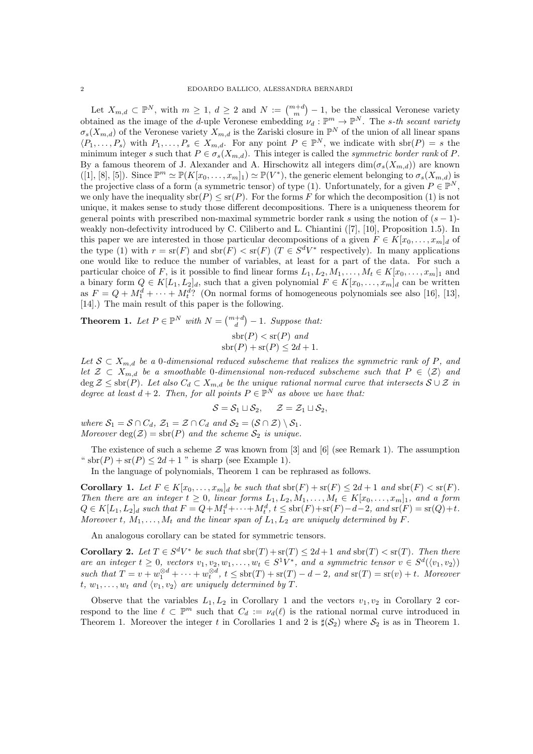Let  $X_{m,d} \subset \mathbb{P}^N$ , with  $m \geq 1$ ,  $d \geq 2$  and  $N := \binom{m+d}{m} - 1$ , be the classical Veronese variety obtained as the image of the *d*-uple Veronese embedding  $\nu_d : \mathbb{P}^m \to \mathbb{P}^N$ . The *s*-th secant variety  $\sigma_s(X_{m,d})$  of the Veronese variety  $X_{m,d}$  is the Zariski closure in  $\mathbb{P}^N$  of the union of all linear spans  $\langle P_1,\ldots,P_s\rangle$  with  $P_1,\ldots,P_s\in X_{m,d}$ . For any point  $P\in\mathbb{P}^N$ , we indicate with  $\text{sbr}(P)=s$  the minimum integer s such that  $P \in \sigma_s(X_{m,d})$ . This integer is called the symmetric border rank of P. By a famous theorem of J. Alexander and A. Hirschowitz all integers  $\dim(\sigma_s(X_{m,d}))$  are known  $([1], [8], [5])$ . Since  $\mathbb{P}^m \simeq \mathbb{P}(K[x_0, \ldots, x_m]_1) \simeq \mathbb{P}(V^*)$ , the generic element belonging to  $\sigma_s(X_{m,d})$  is the projective class of a form (a symmetric tensor) of type (1). Unfortunately, for a given  $P \in \mathbb{P}^N$ , we only have the inequality  $\text{str}(P) \leq \text{sr}(P)$ . For the forms F for which the decomposition (1) is not unique, it makes sense to study those different decompositions. There is a uniqueness theorem for general points with prescribed non-maximal symmetric border rank s using the notion of  $(s - 1)$ weakly non-defectivity introduced by C. Ciliberto and L. Chiantini ([7], [10], Proposition 1.5). In this paper we are interested in those particular decompositions of a given  $F \in K[x_0, \ldots, x_m]_d$  of the type (1) with  $r = \text{sr}(F)$  and  $\text{sbr}(F) < \text{sr}(F)$  ( $T \in S^dV^*$  respectively). In many applications one would like to reduce the number of variables, at least for a part of the data. For such a particular choice of F, is it possible to find linear forms  $L_1, L_2, M_1, \ldots, M_t \in K[x_0, \ldots, x_m]_1$  and a binary form  $Q \in K[L_1, L_2]_d$ , such that a given polynomial  $F \in K[x_0, \ldots, x_m]_d$  can be written as  $F = Q + M_1^d + \cdots + M_t^d$ ? (On normal forms of homogeneous polynomials see also [16], [13], [14].) The main result of this paper is the following.

**Theorem 1.** Let  $P \in \mathbb{P}^N$  with  $N = \binom{m+d}{d} - 1$ . Suppose that:

$$
sbr(P) < sr(P) and\n
$$
sbr(P) + sr(P) \le 2d + 1
$$
$$

Let  $S \subset X_{m,d}$  be a 0-dimensional reduced subscheme that realizes the symmetric rank of P, and let  $\mathcal{Z} \subset X_{m,d}$  be a smoothable 0-dimensional non-reduced subscheme such that  $P \in \langle \mathcal{Z} \rangle$  and  $\deg \mathcal{Z} \leq \text{shr}(P)$ . Let also  $C_d \subset X_{m,d}$  be the unique rational normal curve that intersects  $S \cup \mathcal{Z}$  in degree at least  $d+2$ . Then, for all points  $P \in \mathbb{P}^N$  as above we have that:

$$
S = S_1 \sqcup S_2, \quad Z = Z_1 \sqcup S_2,
$$

where  $S_1 = S \cap C_d$ ,  $\mathcal{Z}_1 = \mathcal{Z} \cap C_d$  and  $S_2 = (S \cap \mathcal{Z}) \setminus S_1$ . Moreover  $deg(\mathcal{Z}) = shr(P)$  and the scheme  $S_2$  is unique.

The existence of such a scheme  $\mathcal Z$  was known from [3] and [6] (see Remark 1). The assumption " sbr(P) + sr(P)  $\leq 2d+1$ " is sharp (see Example 1).

In the language of polynomials, Theorem 1 can be rephrased as follows.

Corollary 1. Let  $F \in K[x_0, \ldots, x_m]_d$  be such that  $\text{str}(F) + \text{sr}(F) \leq 2d + 1$  and  $\text{str}(F) < \text{sr}(F)$ . Then there are an integer  $t \geq 0$ , linear forms  $L_1, L_2, M_1, \ldots, M_t \in K[x_0, \ldots, x_m]_1$ , and a form  $Q \in K[L_1, L_2]_d$  such that  $F = Q + M_1^d + \cdots + M_t^d$ ,  $t \le \text{str}(F) + \text{sr}(F) - d - 2$ , and  $\text{sr}(F) = \text{sr}(Q) + t$ . Moreover t,  $M_1, \ldots, M_t$  and the linear span of  $L_1, L_2$  are uniquely determined by F.

An analogous corollary can be stated for symmetric tensors.

**Corollary 2.** Let  $T \in S^dV^*$  be such that  $\text{str}(T) + \text{sr}(T) \leq 2d+1$  and  $\text{str}(T) < \text{sr}(T)$ . Then there are an integer  $t \geq 0$ , vectors  $v_1, v_2, w_1, \ldots, w_t \in S^1V^*$ , and a symmetric tensor  $v \in S^d(\langle v_1, v_2 \rangle)$ such that  $T = v + w_1^{\otimes d} + \cdots + w_t^{\otimes d}$ ,  $t \le \text{shr}(T) + \text{sr}(T) - d - 2$ , and  $\text{sr}(T) = \text{sr}(v) + t$ . Moreover t,  $w_1, \ldots, w_t$  and  $\langle v_1, v_2 \rangle$  are uniquely determined by T.

Observe that the variables  $L_1, L_2$  in Corollary 1 and the vectors  $v_1, v_2$  in Corollary 2 correspond to the line  $\ell \subset \mathbb{P}^m$  such that  $C_d := \nu_d(\ell)$  is the rational normal curve introduced in Theorem 1. Moreover the integer t in Corollaries 1 and 2 is  $\sharp(\mathcal{S}_2)$  where  $\mathcal{S}_2$  is as in Theorem 1.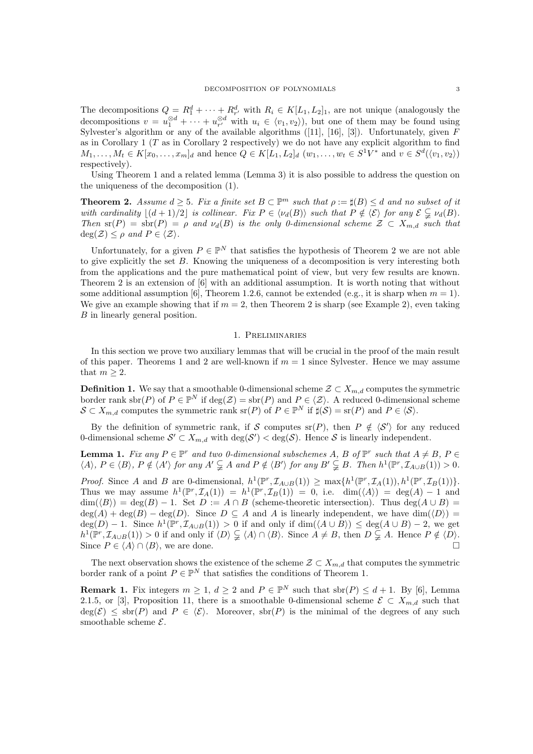The decompositions  $Q = R_1^d + \cdots + R_{r'}^d$  with  $R_i \in K[L_1, L_2]_1$ , are not unique (analogously the decompositions  $v = u_1^{\otimes d} + \cdots + u_{r'}^{\otimes d}$  with  $u_i \in \langle v_1, v_2 \rangle$ , but one of them may be found using Sylvester's algorithm or any of the available algorithms  $([11], [16], [3])$ . Unfortunately, given F as in Corollary 1 ( $T$  as in Corollary 2 respectively) we do not have any explicit algorithm to find  $M_1, \ldots, M_t \in K[x_0, \ldots, x_m]_d$  and hence  $Q \in K[L_1, L_2]_d$   $(w_1, \ldots, w_t \in S^1V^*$  and  $v \in S^d(\langle v_1, v_2 \rangle)$ respectively).

Using Theorem 1 and a related lemma (Lemma 3) it is also possible to address the question on the uniqueness of the decomposition (1).

**Theorem 2.** Assume  $d \geq 5$ . Fix a finite set  $B \subset \mathbb{P}^m$  such that  $\rho := \sharp(B) \leq d$  and no subset of it with cardinality  $|(d + 1)/2|$  is collinear. Fix  $P \in \langle \nu_d(B) \rangle$  such that  $P \notin \langle \mathcal{E} \rangle$  for any  $\mathcal{E} \subseteq \nu_d(B)$ . Then  $\text{sr}(P) = \text{shr}(P) = \rho$  and  $\nu_d(B)$  is the only 0-dimensional scheme  $\mathcal{Z} \subset X_{m,d}$  such that  $deg(\mathcal{Z}) \leq \rho$  and  $P \in \langle \mathcal{Z} \rangle$ .

Unfortunately, for a given  $P \in \mathbb{P}^N$  that satisfies the hypothesis of Theorem 2 we are not able to give explicitly the set B. Knowing the uniqueness of a decomposition is very interesting both from the applications and the pure mathematical point of view, but very few results are known. Theorem 2 is an extension of [6] with an additional assumption. It is worth noting that without some additional assumption [6], Theorem 1.2.6, cannot be extended (e.g., it is sharp when  $m = 1$ ). We give an example showing that if  $m = 2$ , then Theorem 2 is sharp (see Example 2), even taking B in linearly general position.

### 1. Preliminaries

In this section we prove two auxiliary lemmas that will be crucial in the proof of the main result of this paper. Theorems 1 and 2 are well-known if  $m = 1$  since Sylvester. Hence we may assume that  $m > 2$ .

**Definition 1.** We say that a smoothable 0-dimensional scheme  $\mathcal{Z} \subset X_{m,d}$  computes the symmetric border rank sbr(P) of  $P \in \mathbb{P}^N$  if  $\deg(\mathcal{Z}) = \text{sbr}(P)$  and  $P \in \langle \mathcal{Z} \rangle$ . A reduced 0-dimensional scheme  $S \subset X_{m,d}$  computes the symmetric rank  $\operatorname{sr}(P)$  of  $P \in \mathbb{P}^N$  if  $\sharp(\mathcal{S}) = \operatorname{sr}(P)$  and  $P \in \langle \mathcal{S} \rangle$ .

By the definition of symmetric rank, if S computes  $\text{sr}(P)$ , then  $P \notin \langle S' \rangle$  for any reduced 0-dimensional scheme  $\mathcal{S}' \subset X_{m,d}$  with  $\deg(\mathcal{S}') < \deg(\mathcal{S})$ . Hence  $\mathcal{S}$  is linearly independent.

**Lemma 1.** Fix any  $P \in \mathbb{P}^r$  and two 0-dimensional subschemes A, B of  $\mathbb{P}^r$  such that  $A \neq B$ ,  $P \in \mathbb{P}^r$  $\langle A \rangle, P \in \langle B \rangle, P \notin \langle A' \rangle$  for any  $A' \subsetneq A$  and  $P \notin \langle B' \rangle$  for any  $B' \subsetneq B$ . Then  $h^1(\mathbb{P}^r, \mathcal{I}_{A \cup B}(1)) > 0$ .

Proof. Since A and B are 0-dimensional,  $h^1(\mathbb{P}^r, \mathcal{I}_{A\cup B}(1)) \ge \max\{h^1(\mathbb{P}^r, \mathcal{I}_{A}(1)), h^1(\mathbb{P}^r, \mathcal{I}_{B}(1))\}.$ Thus we may assume  $h^1(\mathbb{P}^r, \mathcal{I}_A(1)) = h^1(\mathbb{P}^r, \mathcal{I}_B(1)) = 0$ , i.e.  $\dim(\langle A \rangle) = \deg(A) - 1$  and  $\dim(\langle B \rangle) = \deg(B) - 1$ . Set  $D := A \cap B$  (scheme-theoretic intersection). Thus  $\deg(A \cup B) =$  $deg(A) + deg(B) - deg(D)$ . Since  $D \subseteq A$  and A is linearly independent, we have  $dim(\langle D \rangle) =$  $deg(D) - 1$ . Since  $h^1(\mathbb{P}^r, \mathcal{I}_{A\cup B}(1)) > 0$  if and only if  $dim(\langle A \cup B \rangle) \leq deg(A \cup B) - 2$ , we get  $h^1(\mathbb{P}^r, \mathcal{I}_{A\cup B}(1)) > 0$  if and only if  $\langle D \rangle \subsetneq \langle A \rangle \cap \langle B \rangle$ . Since  $A \neq B$ , then  $D \subsetneq A$ . Hence  $P \notin \langle D \rangle$ . Since  $P \in \langle A \rangle \cap \langle B \rangle$ , we are done.

The next observation shows the existence of the scheme  $\mathcal{Z} \subset X_{m,d}$  that computes the symmetric border rank of a point  $P \in \mathbb{P}^N$  that satisfies the conditions of Theorem 1.

**Remark 1.** Fix integers  $m \geq 1$ ,  $d \geq 2$  and  $P \in \mathbb{P}^N$  such that  $\text{sbr}(P) \leq d+1$ . By [6], Lemma 2.1.5, or [3], Proposition 11, there is a smoothable 0-dimensional scheme  $\mathcal{E} \subset X_{m,d}$  such that  $deg(\mathcal{E}) \leq sbr(P)$  and  $P \in \langle \mathcal{E} \rangle$ . Moreover,  $sbr(P)$  is the minimal of the degrees of any such smoothable scheme  $\mathcal{E}.$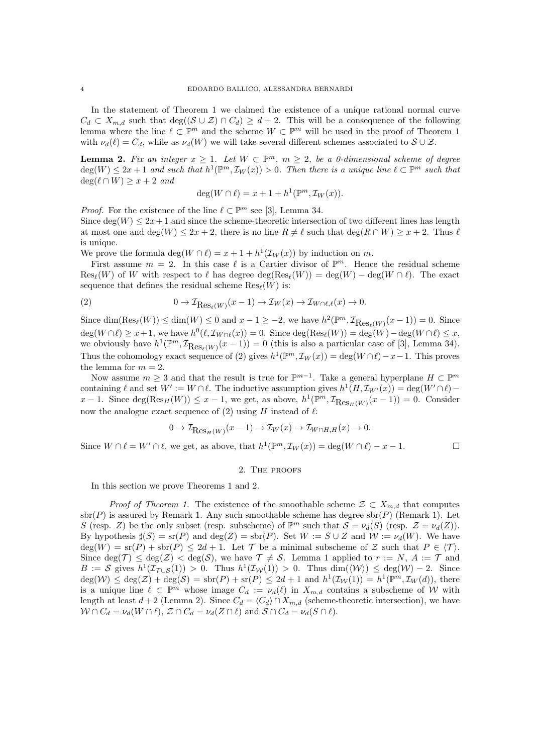In the statement of Theorem 1 we claimed the existence of a unique rational normal curve  $C_d \subset X_{m,d}$  such that  $\deg((\mathcal{S} \cup \mathcal{Z}) \cap C_d) \geq d+2$ . This will be a consequence of the following lemma where the line  $\ell \subset \mathbb{P}^m$  and the scheme  $W \subset \mathbb{P}^m$  will be used in the proof of Theorem 1 with  $\nu_d(\ell) = C_d$ , while as  $\nu_d(W)$  we will take several different schemes associated to  $S \cup \mathcal{Z}$ .

**Lemma 2.** Fix an integer  $x \geq 1$ . Let  $W \subset \mathbb{P}^m$ ,  $m \geq 2$ , be a 0-dimensional scheme of degree  $deg(W) \leq 2x + 1$  and such that  $h^1(\mathbb{P}^m, \mathcal{I}_W(x)) > 0$ . Then there is a unique line  $\ell \subset \mathbb{P}^m$  such that  $deg(\ell \cap W) \geq x + 2$  and

$$
\deg(W \cap \ell) = x + 1 + h^{1}(\mathbb{P}^{m}, \mathcal{I}_{W}(x)).
$$

*Proof.* For the existence of the line  $\ell \subset \mathbb{P}^m$  see [3], Lemma 34.

Since  $\deg(W) \leq 2x+1$  and since the scheme-theoretic intersection of two different lines has length at most one and deg(W)  $\leq 2x + 2$ , there is no line  $R \neq \ell$  such that deg( $R \cap W$ )  $\geq x + 2$ . Thus  $\ell$ is unique.

We prove the formula  $\deg(W \cap \ell) = x + 1 + h^1(\mathcal{I}_W(x))$  by induction on m.

First assume  $m = 2$ . In this case  $\ell$  is a Cartier divisor of  $\mathbb{P}^m$ . Hence the residual scheme  $\text{Res}_{\ell}(W)$  of W with respect to  $\ell$  has degree  $\text{deg}(\text{Res}_{\ell}(W)) = \text{deg}(W) - \text{deg}(W \cap \ell)$ . The exact sequence that defines the residual scheme  $\text{Res}_{\ell}(W)$  is:

(2) 
$$
0 \to \mathcal{I}_{\text{Res}_{\ell}(W)}(x-1) \to \mathcal{I}_W(x) \to \mathcal{I}_{W \cap \ell, \ell}(x) \to 0.
$$

Since  $\dim(\text{Res}_{\ell}(W)) \leq \dim(W) \leq 0$  and  $x - 1 \geq -2$ , we have  $h^2(\mathbb{P}^m, \mathcal{I}_{\text{Res}_{\ell}(W)}(x-1)) = 0$ . Since  $\deg(W \cap \ell) \geq x + 1$ , we have  $h^0(\ell, \mathcal{I}_{W \cap \ell}(x)) = 0$ . Since  $\deg(\text{Res}_{\ell}(W)) = \deg(W) - \deg(W \cap \ell) \leq x$ , we obviously have  $h^1(\mathbb{P}^m, \mathcal{I}_{\text{Res}_{\ell}(W)}(x-1)) = 0$  (this is also a particular case of [3], Lemma 34). Thus the cohomology exact sequence of (2) gives  $h^1(\mathbb{P}^m, \mathcal{I}_W(x)) = \deg(W \cap \ell) - x - 1$ . This proves the lemma for  $m = 2$ .

Now assume  $m \geq 3$  and that the result is true for  $\mathbb{P}^{m-1}$ . Take a general hyperplane  $H \subset \mathbb{P}^m$ containing  $\ell$  and set  $W' := W \cap \ell$ . The inductive assumption gives  $h^1(H, \mathcal{I}_{W'}(x)) = \deg(W' \cap \ell)$  $x-1$ . Since  $\deg(\text{Res}_H(W)) \leq x-1$ , we get, as above,  $h^1(\mathbb{P}^m, \mathcal{I}_{\text{Res}_H(W)}(x-1)) = 0$ . Consider now the analogue exact sequence of (2) using  $H$  instead of  $\ell$ :

$$
0 \to \mathcal{I}_{\text{Res}_H(W)}(x-1) \to \mathcal{I}_W(x) \to \mathcal{I}_{W \cap H, H}(x) \to 0.
$$

Since  $W \cap \ell = W' \cap \ell$ , we get, as above, that  $h^1(\mathbb{P}^m, \mathcal{I}_W(x)) = \deg(W \cap \ell) - x - 1$ .

### 2. The proofs

In this section we prove Theorems 1 and 2.

*Proof of Theorem 1.* The existence of the smoothable scheme  $\mathcal{Z} \subset X_{m,d}$  that computes  $\text{str}(P)$  is assured by Remark 1. Any such smoothable scheme has degree  $\text{str}(P)$  (Remark 1). Let S (resp. Z) be the only subset (resp. subscheme) of  $\mathbb{P}^m$  such that  $S = \nu_d(S)$  (resp.  $\mathcal{Z} = \nu_d(Z)$ ). By hypothesis  $\sharp(S) = \text{sr}(P)$  and  $\text{deg}(Z) = \text{sbr}(P)$ . Set  $W := S \cup Z$  and  $W := \nu_d(W)$ . We have  $deg(W) = s(r) + sbr(P) \leq 2d + 1$ . Let T be a minimal subscheme of Z such that  $P \in \langle T \rangle$ . Since  $deg(\mathcal{T}) \leq deg(\mathcal{Z}) < deg(\mathcal{S})$ , we have  $\mathcal{T} \neq \mathcal{S}$ . Lemma 1 applied to  $r := N$ ,  $A := \mathcal{T}$  and  $B := S$  gives  $h^1(\mathcal{I}_{\mathcal{T}\cup S}(1)) > 0$ . Thus  $h^1(\mathcal{I}_{\mathcal{W}}(1)) > 0$ . Thus  $\dim(\langle \mathcal{W} \rangle) \leq \deg(\mathcal{W}) - 2$ . Since  $deg(\mathcal{W}) \leq deg(\mathcal{Z}) + deg(\mathcal{S}) = sbr(P) + sr(P) \leq 2d + 1$  and  $h^1(\mathcal{I}_{\mathcal{W}}(1)) = h^1(\mathbb{P}^m, \mathcal{I}_{\mathcal{W}}(d)),$  there is a unique line  $\ell \subset \mathbb{P}^m$  whose image  $C_d := \nu_d(\ell)$  in  $X_{m,d}$  contains a subscheme of W with length at least  $d + 2$  (Lemma 2). Since  $C_d = \langle C_d \rangle \cap X_{m,d}$  (scheme-theoretic intersection), we have  $W \cap C_d = \nu_d(W \cap \ell), Z \cap C_d = \nu_d(Z \cap \ell)$  and  $S \cap C_d = \nu_d(S \cap \ell).$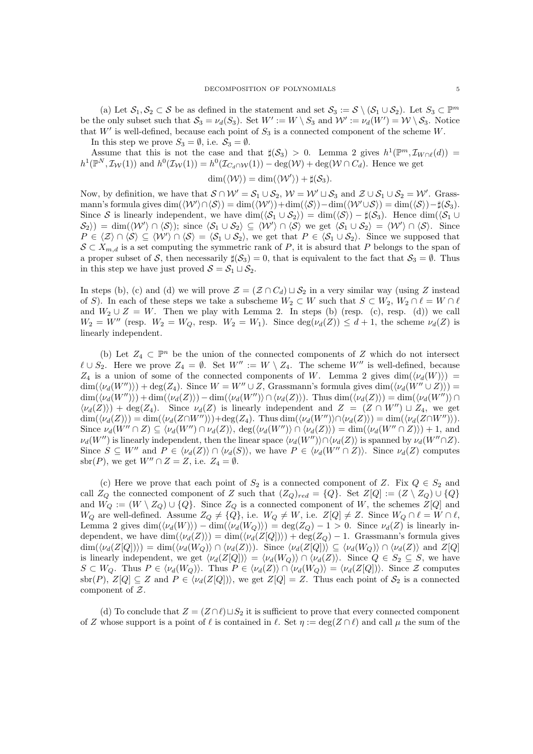(a) Let  $S_1, S_2 \subset S$  be as defined in the statement and set  $S_3 := S \setminus (S_1 \cup S_2)$ . Let  $S_3 \subset \mathbb{P}^m$ be the only subset such that  $S_3 = \nu_d(S_3)$ . Set  $W' := W \setminus S_3$  and  $W' := \nu_d(W') = W \setminus S_3$ . Notice that  $W'$  is well-defined, because each point of  $S_3$  is a connected component of the scheme W.

In this step we prove  $S_3 = \emptyset$ , i.e.  $S_3 = \emptyset$ .

Assume that this is not the case and that  $\sharp(\mathcal{S}_3) > 0$ . Lemma 2 gives  $h^1(\mathbb{P}^m, \mathcal{I}_{W \cap \ell}(d)) =$  $h^1(\mathbb{P}^N, \mathcal{I}_{\mathcal{W}}(1))$  and  $h^0(\mathcal{I}_{\mathcal{W}}(1)) = h^0(\mathcal{I}_{C_d \cap \mathcal{W}}(1)) - \deg(\mathcal{W}) + \deg(\mathcal{W} \cap C_d)$ . Hence we get

$$
\dim(\langle \mathcal{W} \rangle) = \dim(\langle \mathcal{W}' \rangle) + \sharp(\mathcal{S}_3).
$$

Now, by definition, we have that  $S \cap W' = S_1 \cup S_2$ ,  $W = W' \sqcup S_3$  and  $\mathcal{Z} \cup S_1 \cup S_2 = W'$ . Grassmann's formula gives  $\dim(\langle W' \rangle \cap \langle S \rangle) = \dim(\langle W' \rangle) + \dim(\langle S \rangle) - \dim(\langle W' \cup S \rangle) = \dim(\langle S \rangle) - \sharp(S_3)$ . Since S is linearly independent, we have dim( $\langle S_1 \cup S_2 \rangle$ ) = dim( $\langle S \rangle$ ) −  $\sharp(S_3)$ . Hence dim( $\langle S_1 \cup S_2 \rangle$  $\langle S_2 \rangle$  = dim( $\langle W' \rangle \cap \langle S \rangle$ ); since  $\langle S_1 \cup S_2 \rangle \subseteq \langle W' \rangle \cap \langle S \rangle$  we get  $\langle S_1 \cup S_2 \rangle = \langle W' \rangle \cap \langle S \rangle$ . Since  $P \in \langle \mathcal{Z} \rangle \cap \langle \mathcal{S} \rangle \subseteq \langle \mathcal{W}' \rangle \cap \langle \mathcal{S} \rangle = \langle \mathcal{S}_1 \cup \mathcal{S}_2 \rangle$ , we get that  $P \in \langle \mathcal{S}_1 \cup \mathcal{S}_2 \rangle$ . Since we supposed that  $S \subset X_{m,d}$  is a set computing the symmetric rank of P, it is absurd that P belongs to the span of a proper subset of S, then necessarily  $\sharp(\mathcal{S}_3) = 0$ , that is equivalent to the fact that  $\mathcal{S}_3 = \emptyset$ . Thus in this step we have just proved  $S = S_1 \sqcup S_2$ .

In steps (b), (c) and (d) we will prove  $\mathcal{Z} = (\mathcal{Z} \cap C_d) \sqcup \mathcal{S}_2$  in a very similar way (using Z instead of S). In each of these steps we take a subscheme  $W_2 \subset W$  such that  $S \subset W_2$ ,  $W_2 \cap \ell = W \cap \ell$ and  $W_2 \cup Z = W$ . Then we play with Lemma 2. In steps (b) (resp. (c), resp. (d)) we call  $W_2 = W''$  (resp.  $W_2 = W_Q$ , resp.  $W_2 = W_1$ ). Since  $deg(\nu_d(Z)) \leq d+1$ , the scheme  $\nu_d(Z)$  is linearly independent.

(b) Let  $Z_4 \subset \mathbb{P}^n$  be the union of the connected components of Z which do not intersect  $\ell \cup S_2$ . Here we prove  $Z_4 = \emptyset$ . Set  $W'' := W \setminus Z_4$ . The scheme  $W''$  is well-defined, because  $Z_4$  is a union of some of the connected components of W. Lemma 2 gives  $\dim(\langle \nu_d(W) \rangle)$  =  $\dim(\langle \nu_d(W'')\rangle) + \deg(Z_4)$ . Since  $W = W'' \cup Z$ , Grassmann's formula gives  $\dim(\langle \nu_d(W' \cup Z)\rangle) =$  $\dim(\langle \nu_d(W'')\rangle) + \dim(\langle \nu_d(Z)\rangle) - \dim(\langle \nu_d(W'')\rangle \cap \langle \nu_d(Z)\rangle)$ . Thus  $\dim(\langle \nu_d(Z)\rangle) = \dim(\langle \nu_d(W'')\rangle \cap \langle \nu_d(Z)\rangle)$  $\langle \nu_d(Z) \rangle$  + deg(Z<sub>4</sub>). Since  $\nu_d(Z)$  is linearly independent and  $Z = (Z \cap W'') \sqcup Z_4$ , we get  $\dim(\langle \nu_d(Z) \rangle) = \dim(\langle \nu_d(Z \cap W' \rangle)) + \deg(Z_4)$ . Thus  $\dim(\langle \nu_d(W' \rangle) \cap \langle \nu_d(Z) \rangle) = \dim(\langle \nu_d(Z \cap W' \rangle)).$ Since  $\nu_d(W'' \cap Z) \subseteq \langle \nu_d(W'') \cap \nu_d(Z) \rangle$ ,  $\deg(\langle \nu_d(W'') \rangle \cap \langle \nu_d(Z) \rangle) = \dim(\langle \nu_d(W'' \cap Z) \rangle) + 1$ , and  $\nu_d(W'')$  is linearly independent, then the linear space  $\langle \nu_d(W'')\rangle \cap \langle \nu_d(Z)\rangle$  is spanned by  $\nu_d(W''\cap Z)$ . Since  $S \subseteq W''$  and  $P \in \langle \nu_d(Z) \rangle \cap \langle \nu_d(S) \rangle$ , we have  $P \in \langle \nu_d(W'' \cap Z) \rangle$ . Since  $\nu_d(Z)$  computes sbr(P), we get  $W'' \cap Z = Z$ , i.e.  $Z_4 = \emptyset$ .

(c) Here we prove that each point of  $S_2$  is a connected component of Z. Fix  $Q \in S_2$  and call  $Z_Q$  the connected component of Z such that  $(Z_Q)_{red} = \{Q\}$ . Set  $Z[Q] := (Z \setminus Z_Q) \cup \{Q\}$ and  $W_Q := (W \setminus Z_Q) \cup \{Q\}$ . Since  $Z_Q$  is a connected component of W, the schemes  $Z[Q]$  and  $W_Q$  are well-defined. Assume  $Z_Q \neq \{Q\}$ , i.e.  $W_Q \neq W$ , i.e.  $Z[Q] \neq Z$ . Since  $W_Q \cap \ell = W \cap \ell$ , Lemma 2 gives  $\dim(\langle \nu_d(W) \rangle) - \dim(\langle \nu_d(W_Q) \rangle) = \deg(Z_Q) - 1 > 0$ . Since  $\nu_d(Z)$  is linearly independent, we have  $\dim(\langle \nu_d(Z) \rangle) = \dim(\langle \nu_d(Z|Q|) \rangle) + \deg(Z_Q) - 1$ . Grassmann's formula gives  $\dim(\langle \nu_d(Z[Q]) \rangle) = \dim(\langle \nu_d(W_Q) \rangle \cap \langle \nu_d(Z) \rangle)$ . Since  $\langle \nu_d(Z[Q]) \rangle \subseteq \langle \nu_d(W_Q) \rangle \cap \langle \nu_d(Z) \rangle$  and  $Z[Q]$ is linearly independent, we get  $\langle \nu_d(Z[Q]) \rangle = \langle \nu_d(W_Q) \rangle \cap \langle \nu_d(Z) \rangle$ . Since  $Q \in S_2 \subseteq S$ , we have  $S \subset W_Q$ . Thus  $P \in \langle \nu_d(W_Q) \rangle$ . Thus  $P \in \langle \nu_d(Z) \rangle \cap \langle \nu_d(W_Q) \rangle = \langle \nu_d(Z[Q]) \rangle$ . Since Z computes sbr(P),  $Z[Q] \subseteq Z$  and  $P \in \langle \nu_d(Z[Q]) \rangle$ , we get  $Z[Q] = Z$ . Thus each point of  $S_2$  is a connected component of Z.

(d) To conclude that  $Z = (Z \cap \ell) \sqcup S_2$  it is sufficient to prove that every connected component of Z whose support is a point of  $\ell$  is contained in  $\ell$ . Set  $\eta := \deg(Z \cap \ell)$  and call  $\mu$  the sum of the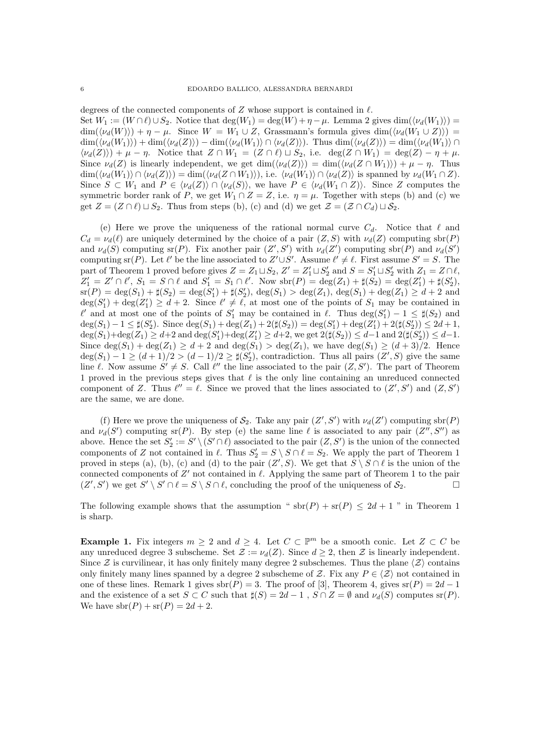degrees of the connected components of Z whose support is contained in  $\ell$ . Set  $W_1 := (W \cap \ell) \cup S_2$ . Notice that  $\deg(W_1) = \deg(W) + \eta - \mu$ . Lemma 2 gives  $\dim(\langle \nu_d(W_1) \rangle) =$  $\dim(\langle \nu_d(W) \rangle) + \eta - \mu$ . Since  $W = W_1 \cup Z$ , Grassmann's formula gives  $\dim(\langle \nu_d(W_1 \cup Z) \rangle) =$  $\dim(\langle \nu_d(W_1)\rangle) + \dim(\langle \nu_d(Z)\rangle) - \dim(\langle \nu_d(W_1)\rangle \cap \langle \nu_d(Z)\rangle)$ . Thus  $\dim(\langle \nu_d(Z)\rangle) = \dim(\langle \nu_d(W_1)\rangle \cap \langle \nu_d(Z)\rangle)$  $\langle \nu_d(Z) \rangle + \mu - \eta$ . Notice that  $Z \cap W_1 = (Z \cap \ell) \sqcup S_2$ , i.e. deg( $Z \cap W_1$ ) = deg( $Z \cap \eta + \mu$ . Since  $\nu_d(Z)$  is linearly independent, we get  $\dim(\langle \nu_d(Z) \rangle) = \dim(\langle \nu_d(Z \cap W_1) \rangle) + \mu - \eta$ . Thus  $\dim(\langle \nu_d(W_1) \rangle \cap \langle \nu_d(Z) \rangle) = \dim(\langle \nu_d(Z \cap W_1) \rangle)$ , i.e.  $\langle \nu_d(W_1) \rangle \cap \langle \nu_d(Z) \rangle$  is spanned by  $\nu_d(W_1 \cap Z)$ . Since  $S \subset W_1$  and  $P \in \langle \nu_d(Z) \rangle \cap \langle \nu_d(S) \rangle$ , we have  $P \in \langle \nu_d(W_1 \cap Z) \rangle$ . Since Z computes the symmetric border rank of P, we get  $W_1 \cap Z = Z$ , i.e.  $\eta = \mu$ . Together with steps (b) and (c) we get  $Z = (Z \cap \ell) \sqcup S_2$ . Thus from steps (b), (c) and (d) we get  $\mathcal{Z} = (\mathcal{Z} \cap C_d) \sqcup \mathcal{S}_2$ .

(e) Here we prove the uniqueness of the rational normal curve  $C_d$ . Notice that  $\ell$  and  $C_d = \nu_d(\ell)$  are uniquely determined by the choice of a pair  $(Z, S)$  with  $\nu_d(Z)$  computing sbr(P) and  $\nu_d(S)$  computing sr(P). Fix another pair  $(Z', S')$  with  $\nu_d(Z')$  computing sbr(P) and  $\nu_d(S')$ computing sr(P). Let  $\ell'$  be the line associated to  $Z' \cup S'$ . Assume  $\ell' \neq \ell$ . First assume  $S' = S$ . The part of Theorem 1 proved before gives  $Z = Z_1 \sqcup S_2$ ,  $Z' = Z'_1 \sqcup S'_2$  and  $S = S'_1 \sqcup S'_2$  with  $Z_1 = Z \cap \ell$ ,  $Z'_1 = Z' \cap \ell', S_1 = S \cap \ell \text{ and } S'_1 = S_1 \cap \ell'. \text{ Now } \text{sbr}(P) = \text{deg}(Z_1) + \sharp(S_2) = \text{deg}(Z'_1) + \sharp(S'_2),$  $\text{sr}(P) = \text{deg}(S_1) + \sharp(S_2) = \text{deg}(S_1') + \sharp(S_2'), \text{deg}(S_1) > \text{deg}(Z_1), \text{deg}(S_1) + \text{deg}(Z_1) \geq d + 2$  and  $deg(S'_1) + deg(Z'_1) \geq d+2$ . Since  $\ell' \neq \ell$ , at most one of the points of  $S_1$  may be contained in  $\ell'$  and at most one of the points of  $S'_1$  may be contained in  $\ell$ . Thus  $\deg(S'_1) - 1 \leq \sharp(S_2)$  and  $\deg(S_1) - 1 \leq \sharp(S'_2)$ . Since  $\deg(S_1) + \deg(Z_1) + 2(\sharp(S_2)) = \deg(S'_1) + \deg(Z'_1) + 2(\sharp(S'_2)) \leq 2d + 1$ ,  $\deg(S_1) + \deg(Z_1) \ge d+2$  and  $\deg(S'_1) + \deg(Z'_1) \ge d+2$ , we get  $2(\sharp(S_2)) \le d-1$  and  $2(\sharp(S'_2)) \le d-1$ . Since  $\deg(S_1) + \deg(Z_1) \geq d + 2$  and  $\deg(S_1) > \deg(Z_1)$ , we have  $\deg(S_1) \geq (d+3)/2$ . Hence  $deg(S_1) - 1 \ge (d+1)/2 > (d-1)/2 \ge \sharp(S'_2)$ , contradiction. Thus all pairs  $(Z', S)$  give the same line  $\ell$ . Now assume  $S' \neq S$ . Call  $\ell''$  the line associated to the pair  $(Z, S')$ . The part of Theorem 1 proved in the previous steps gives that  $\ell$  is the only line containing an unreduced connected component of Z. Thus  $\ell'' = \ell$ . Since we proved that the lines associated to  $(Z', S')$  and  $(Z, S')$ are the same, we are done.

(f) Here we prove the uniqueness of  $S_2$ . Take any pair  $(Z', S')$  with  $\nu_d(Z')$  computing sbr(P) and  $\nu_d(S')$  computing sr(P). By step (e) the same line  $\ell$  is associated to any pair  $(Z'', S'')$  as above. Hence the set  $S'_2 := S' \setminus (S' \cap \ell)$  associated to the pair  $(Z, S')$  is the union of the connected components of Z not contained in  $\ell$ . Thus  $S_2' = S \setminus S \cap \ell = S_2$ . We apply the part of Theorem 1 proved in steps (a), (b), (c) and (d) to the pair  $(Z', S)$ . We get that  $S \setminus S \cap \ell$  is the union of the connected components of  $Z'$  not contained in  $\ell$ . Applying the same part of Theorem 1 to the pair  $(Z', S')$  we get  $S' \setminus S' \cap \ell = S \setminus S \cap \ell$ , concluding the proof of the uniqueness of  $S_2$ .

The following example shows that the assumption " $\text{str}(P) + \text{sr}(P) \leq 2d + 1$ " in Theorem 1 is sharp.

**Example 1.** Fix integers  $m \geq 2$  and  $d \geq 4$ . Let  $C \subset \mathbb{P}^m$  be a smooth conic. Let  $Z \subset C$  be any unreduced degree 3 subscheme. Set  $\mathcal{Z} := \nu_d(Z)$ . Since  $d \geq 2$ , then  $\mathcal{Z}$  is linearly independent. Since Z is curvilinear, it has only finitely many degree 2 subschemes. Thus the plane  $\langle Z \rangle$  contains only finitely many lines spanned by a degree 2 subscheme of Z. Fix any  $P \in \langle Z \rangle$  not contained in one of these lines. Remark 1 gives  $\text{sbr}(P) = 3$ . The proof of [3], Theorem 4, gives  $\text{sr}(P) = 2d - 1$ and the existence of a set  $S \subset C$  such that  $\sharp(S) = 2d - 1$ ,  $S \cap Z = \emptyset$  and  $\nu_d(S)$  computes  $\text{sr}(P)$ . We have  $\text{sbr}(P) + \text{sr}(P) = 2d + 2$ .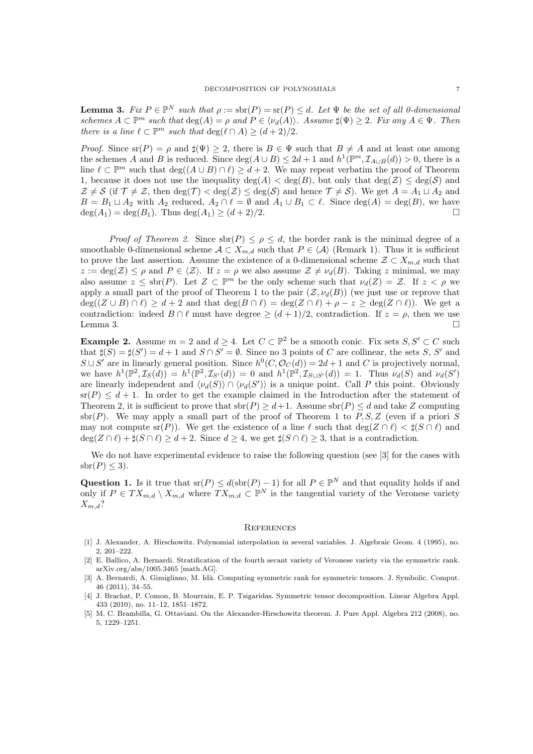**Lemma 3.** Fix  $P \in \mathbb{P}^N$  such that  $\rho := \text{str}(P) = \text{sr}(P) \leq d$ . Let  $\Psi$  be the set of all 0-dimensional schemes  $A \subset \mathbb{P}^m$  such that  $\deg(A) = \rho$  and  $P \in \langle \nu_d(A) \rangle$ . Assume  $\sharp(\Psi) \geq 2$ . Fix any  $A \in \Psi$ . Then there is a line  $\ell \subset \mathbb{P}^m$  such that  $\deg(\ell \cap A) \geq (d+2)/2$ .

*Proof.* Since  $\text{sr}(P) = \rho$  and  $\sharp(\Psi) \geq 2$ , there is  $B \in \Psi$  such that  $B \neq A$  and at least one among the schemes A and B is reduced. Since  $deg(A \cup B) \leq 2d+1$  and  $h^1(\mathbb{P}^m, \mathcal{I}_{A \cup B}(d)) > 0$ , there is a line  $\ell \subset \mathbb{P}^m$  such that  $\deg((A \cup B) \cap \ell) \geq d + 2$ . We may repeat verbatim the proof of Theorem 1, because it does not use the inequality  $\deg(A) < \deg(B)$ , but only that  $\deg(\mathcal{Z}) < \deg(\mathcal{S})$  and  $\mathcal{Z} \neq \mathcal{S}$  (if  $\mathcal{T} \neq \mathcal{Z}$ , then  $\deg(\mathcal{T}) < \deg(\mathcal{Z}) \leq \deg(\mathcal{S})$  and hence  $\mathcal{T} \neq \mathcal{S}$ ). We get  $A = A_1 \sqcup A_2$  and  $B = B_1 \sqcup A_2$  with  $A_2$  reduced,  $A_2 \cap \ell = \emptyset$  and  $A_1 \cup B_1 \subset \ell$ . Since  $\deg(A) = \deg(B)$ , we have  $deg(A_1) = deg(B_1)$ . Thus  $deg(A_1) \ge (d+2)/2$ .

*Proof of Theorem 2.* Since  $\text{str}(P) \leq \rho \leq d$ , the border rank is the minimal degree of a smoothable 0-dimensional scheme  $A \subset X_{m,d}$  such that  $P \in \langle A \rangle$  (Remark 1). Thus it is sufficient to prove the last assertion. Assume the existence of a 0-dimensional scheme  $\mathcal{Z} \subset X_{m,d}$  such that  $z := \deg(\mathcal{Z}) \leq \rho$  and  $P \in \langle \mathcal{Z} \rangle$ . If  $z = \rho$  we also assume  $\mathcal{Z} \neq \nu_d(B)$ . Taking z minimal, we may also assume  $z \leq \text{str}(P)$ . Let  $Z \subset \mathbb{P}^m$  be the only scheme such that  $\nu_d(Z) = \mathcal{Z}$ . If  $z < \rho$  we apply a small part of the proof of Theorem 1 to the pair  $(\mathcal{Z}, \nu_d(B))$  (we just use or reprove that  $deg((Z \cup B) \cap \ell) \geq d + 2$  and that  $deg(B \cap \ell) = deg(Z \cap \ell) + \rho - z \geq deg(Z \cap \ell)$ ). We get a contradiction: indeed  $B \cap \ell$  must have degree  $\geq (d+1)/2$ , contradiction. If  $z = \rho$ , then we use Lemma 3.  $\Box$ 

**Example 2.** Assume  $m = 2$  and  $d \geq 4$ . Let  $C \subset \mathbb{P}^2$  be a smooth conic. Fix sets  $S, S' \subset C$  such that  $\sharp(S) = \sharp(S') = d + 1$  and  $S \cap S' = \emptyset$ . Since no 3 points of C are collinear, the sets S, S' and  $S \cup S'$  are in linearly general position. Since  $h^0(C, \mathcal{O}_C(d)) = 2d + 1$  and C is projectively normal, we have  $h^1(\mathbb{P}^2, \mathcal{I}_S(d)) = h^1(\mathbb{P}^2, \mathcal{I}_{S'}(d)) = 0$  and  $h^1(\mathbb{P}^2, \mathcal{I}_{S\cup S'}(d)) = 1$ . Thus  $\nu_d(S)$  and  $\nu_d(S')$ are linearly independent and  $\langle \nu_d(S) \rangle \cap \langle \nu_d(S') \rangle$  is a unique point. Call P this point. Obviously  $\operatorname{sr}(P) \leq d+1$ . In order to get the example claimed in the Introduction after the statement of Theorem 2, it is sufficient to prove that  $\text{str}(P) \geq d+1$ . Assume  $\text{str}(P) \leq d$  and take Z computing sbr(P). We may apply a small part of the proof of Theorem 1 to  $P, S, Z$  (even if a priori S may not compute sr(P)). We get the existence of a line  $\ell$  such that  $\deg(Z \cap \ell) < \sharp(S \cap \ell)$  and  $\deg(Z \cap \ell) + \sharp(S \cap \ell) \geq d + 2$ . Since  $d \geq 4$ , we get  $\sharp(S \cap \ell) \geq 3$ , that is a contradiction.

We do not have experimental evidence to raise the following question (see [3] for the cases with  $sbr(P) \leq 3$ .

Question 1. Is it true that  $\operatorname{sr}(P) \leq d(\operatorname{sbr}(P) - 1)$  for all  $P \in \mathbb{P}^N$  and that equality holds if and only if  $P \in TX_{m,d} \setminus X_{m,d}$  where  $TX_{m,d} \subset \mathbb{P}^N$  is the tangential variety of the Veronese variety  $X_{m,d}$ ?

#### **REFERENCES**

- [1] J. Alexander, A. Hirschowitz. Polynomial interpolation in several variables. J. Algebraic Geom. 4 (1995), no. 2, 201–222.
- [2] E. Ballico, A. Bernardi. Stratification of the fourth secant variety of Veronese variety via the symmetric rank. arXiv.org/abs/1005.3465 [math.AG].
- [3] A. Bernardi, A. Gimigliano, M. Idà. Computing symmetric rank for symmetric tensors. J. Symbolic. Comput. 46 (2011), 34–55.
- [4] J. Brachat, P. Comon, B. Mourrain, E. P. Tsigaridas. Symmetric tensor decomposition. Linear Algebra Appl. 433 (2010), no. 11–12, 1851–1872.
- [5] M. C. Brambilla, G. Ottaviani. On the Alexander-Hirschowitz theorem. J. Pure Appl. Algebra 212 (2008), no. 5, 1229–1251.